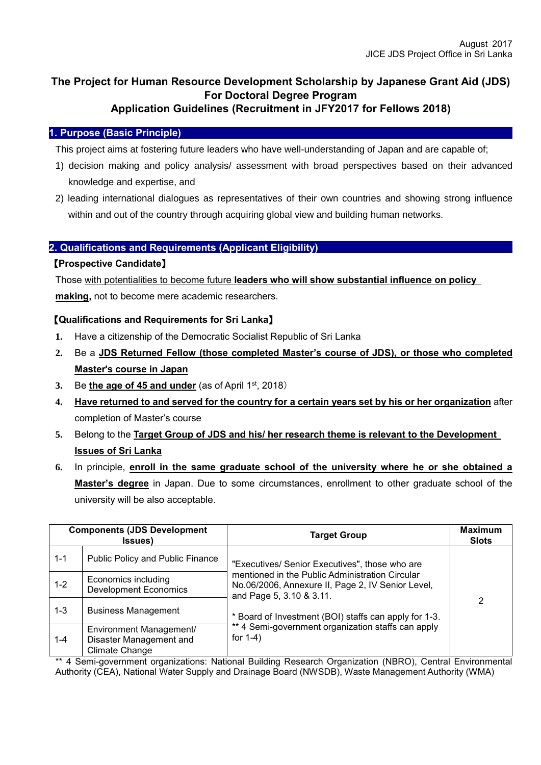# **The Project for Human Resource Development Scholarship by Japanese Grant Aid (JDS) For Doctoral Degree Program**

# **Application Guidelines (Recruitment in JFY2017 for Fellows 2018)**

## **1. Purpose (Basic Principle)**

This project aims at fostering future leaders who have well-understanding of Japan and are capable of;

- 1) decision making and policy analysis/ assessment with broad perspectives based on their advanced knowledge and expertise, and
- 2) leading international dialogues as representatives of their own countries and showing strong influence within and out of the country through acquiring global view and building human networks.

## **2. Qualifications and Requirements (Applicant Eligibility)**

### 【**Prospective Candidate**】

Those with potentialities to become future **leaders who will show substantial influence on policy**

**making,** not to become mere academic researchers.

### 【**Qualifications and Requirements for Sri Lanka**】

- **1.** Have a citizenship of the Democratic Socialist Republic of Sri Lanka
- **2.** Be a **JDS Returned Fellow (those completed Master's course of JDS), or those who completed Master**'**s course in Japan**
- **3.** Be **the age of 45 and under** (as of April 1st, 2018)
- **4. Have returned to and served for the country for a certain years set by his or her organization** after completion of Master's course
- **5.** Belong to the **Target Group of JDS and his/ her research theme is relevant to the Development Issues of Sri Lanka**
- **6.** In principle, **enroll in the same graduate school of the university where he or she obtained a Master's degree** in Japan. Due to some circumstances, enrollment to other graduate school of the university will be also acceptable.

| <b>Components (JDS Development</b><br><b>Issues</b> ) |                                                                      | <b>Target Group</b>                                                                                                              | <b>Maximum</b><br><b>Slots</b> |  |
|-------------------------------------------------------|----------------------------------------------------------------------|----------------------------------------------------------------------------------------------------------------------------------|--------------------------------|--|
| $1 - 1$                                               | Public Policy and Public Finance                                     | "Executives/ Senior Executives", those who are                                                                                   | 2                              |  |
| $1 - 2$                                               | Economics including<br><b>Development Economics</b>                  | mentioned in the Public Administration Circular<br>No.06/2006, Annexure II, Page 2, IV Senior Level,<br>and Page 5, 3.10 & 3.11. |                                |  |
| $1 - 3$                                               | <b>Business Management</b>                                           | * Board of Investment (BOI) staffs can apply for 1-3.                                                                            |                                |  |
| 1-4                                                   | Environment Management/<br>Disaster Management and<br>Climate Change | ** 4 Semi-government organization staffs can apply<br>for $1-4$ )                                                                |                                |  |

\*\* 4 Semi-government organizations: National Building Research Organization (NBRO), Central Environmental Authority (CEA), National Water Supply and Drainage Board (NWSDB), Waste Management Authority (WMA)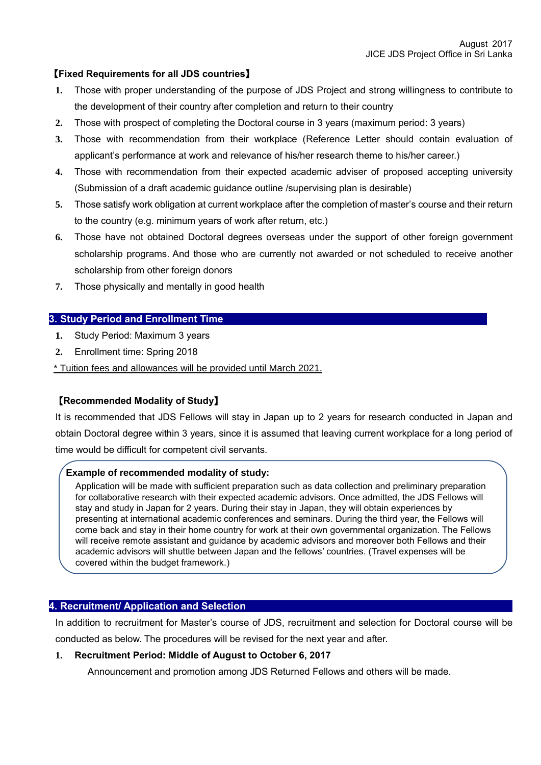## 【**Fixed Requirements for all JDS countries**】

- **1.** Those with proper understanding of the purpose of JDS Project and strong willingness to contribute to the development of their country after completion and return to their country
- **2.** Those with prospect of completing the Doctoral course in 3 years (maximum period: 3 years)
- **3.** Those with recommendation from their workplace (Reference Letter should contain evaluation of applicant's performance at work and relevance of his/her research theme to his/her career.)
- **4.** Those with recommendation from their expected academic adviser of proposed accepting university (Submission of a draft academic guidance outline /supervising plan is desirable)
- **5.** Those satisfy work obligation at current workplace after the completion of master's course and their return to the country (e.g. minimum years of work after return, etc.)
- **6.** Those have not obtained Doctoral degrees overseas under the support of other foreign government scholarship programs. And those who are currently not awarded or not scheduled to receive another scholarship from other foreign donors
- **7.** Those physically and mentally in good health

#### **3. Study Period and Enrollment Time**

- **1.** Study Period: Maximum 3 years
- **2.** Enrollment time: Spring 2018
- \* Tuition fees and allowances will be provided until March 2021.

### 【**Recommended Modality of Study**】

It is recommended that JDS Fellows will stay in Japan up to 2 years for research conducted in Japan and obtain Doctoral degree within 3 years, since it is assumed that leaving current workplace for a long period of time would be difficult for competent civil servants.

#### **Example of recommended modality of study:**

Application will be made with sufficient preparation such as data collection and preliminary preparation for collaborative research with their expected academic advisors. Once admitted, the JDS Fellows will stay and study in Japan for 2 years. During their stay in Japan, they will obtain experiences by presenting at international academic conferences and seminars. During the third year, the Fellows will come back and stay in their home country for work at their own governmental organization. The Fellows will receive remote assistant and guidance by academic advisors and moreover both Fellows and their academic advisors will shuttle between Japan and the fellows' countries. (Travel expenses will be covered within the budget framework.)

#### **4. Recruitment/ Application and Selection**

In addition to recruitment for Master's course of JDS, recruitment and selection for Doctoral course will be conducted as below. The procedures will be revised for the next year and after.

#### **1. Recruitment Period: Middle of August to October 6, 2017**

Announcement and promotion among JDS Returned Fellows and others will be made.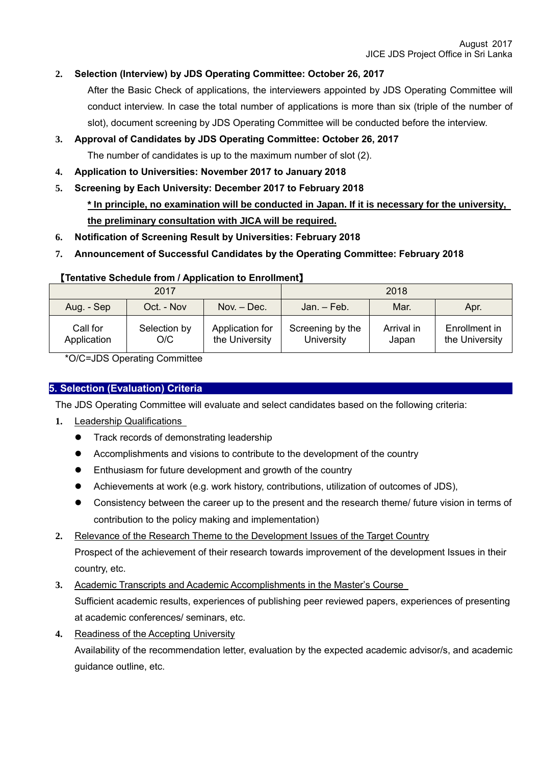## **2. Selection (Interview) by JDS Operating Committee: October 26, 2017**

After the Basic Check of applications, the interviewers appointed by JDS Operating Committee will conduct interview. In case the total number of applications is more than six (triple of the number of slot), document screening by JDS Operating Committee will be conducted before the interview.

## **3. Approval of Candidates by JDS Operating Committee: October 26, 2017**

The number of candidates is up to the maximum number of slot (2).

- **4. Application to Universities: November 2017 to January 2018**
- **5. Screening by Each University: December 2017 to February 2018 \* In principle, no examination will be conducted in Japan. If it is necessary for the university,**

**the preliminary consultation with JICA will be required.**

- **6. Notification of Screening Result by Universities: February 2018**
- **7. Announcement of Successful Candidates by the Operating Committee: February 2018**

## 【**Tentative Schedule from / Application to Enrollment**】

|                         | 2017                |                                   | 2018                           |                     |                                 |  |
|-------------------------|---------------------|-----------------------------------|--------------------------------|---------------------|---------------------------------|--|
| Aug. - Sep              | Oct. - Nov          | Nov. – Dec.                       | Jan. – Feb.                    | Mar.                | Apr.                            |  |
| Call for<br>Application | Selection by<br>O/C | Application for<br>the University | Screening by the<br>University | Arrival in<br>Japan | Enrollment in<br>the University |  |

\*O/C=JDS Operating Committee

## **5. Selection (Evaluation) Criteria**

The JDS Operating Committee will evaluate and select candidates based on the following criteria:

- **1.** Leadership Qualifications
	- **•** Track records of demonstrating leadership
	- Accomplishments and visions to contribute to the development of the country
	- **•** Enthusiasm for future development and growth of the country
	- Achievements at work (e.g. work history, contributions, utilization of outcomes of JDS),
	- Consistency between the career up to the present and the research theme/ future vision in terms of contribution to the policy making and implementation)
- **2.** Relevance of the Research Theme to the Development Issues of the Target Country

Prospect of the achievement of their research towards improvement of the development Issues in their country, etc.

- **3.** Academic Transcripts and Academic Accomplishments in the Master's Course Sufficient academic results, experiences of publishing peer reviewed papers, experiences of presenting at academic conferences/ seminars, etc.
- **4.** Readiness of the Accepting University

Availability of the recommendation letter, evaluation by the expected academic advisor/s, and academic guidance outline, etc.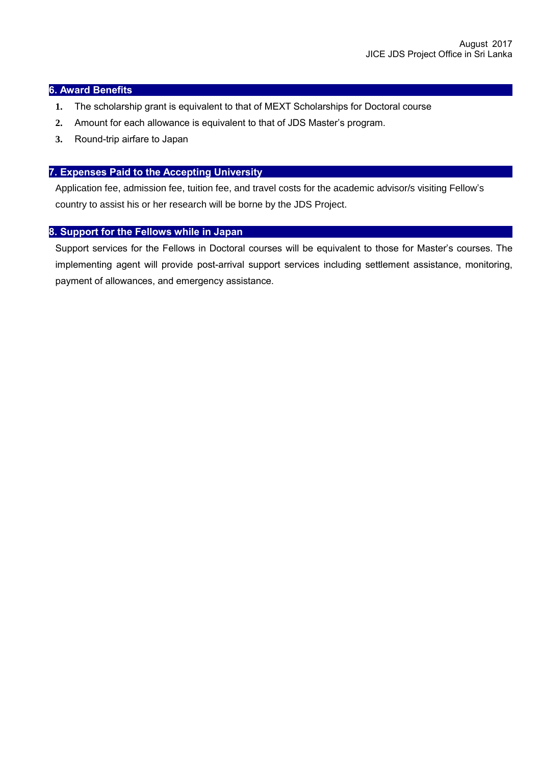#### **6. Award Benefits**

- **1.** The scholarship grant is equivalent to that of MEXT Scholarships for Doctoral course
- **2.** Amount for each allowance is equivalent to that of JDS Master's program.
- **3.** Round-trip airfare to Japan

#### **7. Expenses Paid to the Accepting University**

Application fee, admission fee, tuition fee, and travel costs for the academic advisor/s visiting Fellow's country to assist his or her research will be borne by the JDS Project.

#### **8. Support for the Fellows while in Japan**

Support services for the Fellows in Doctoral courses will be equivalent to those for Master's courses. The implementing agent will provide post-arrival support services including settlement assistance, monitoring, payment of allowances, and emergency assistance.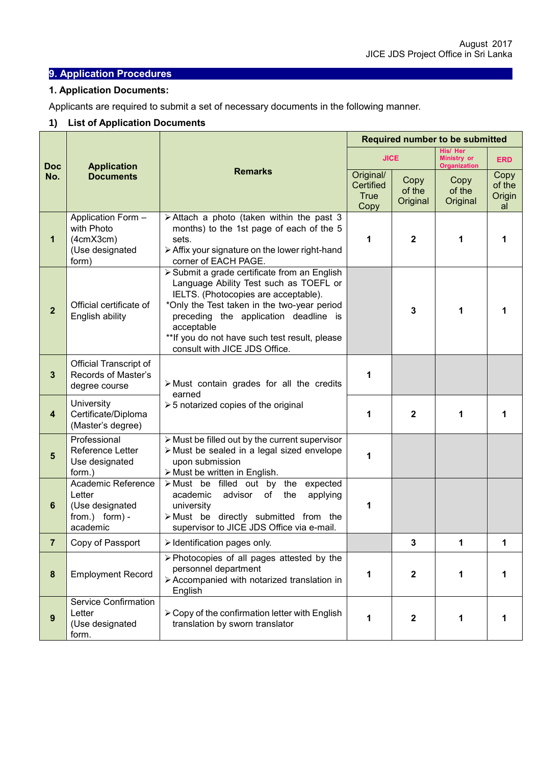## **9. Application Procedures**

#### **1. Application Documents:**

Applicants are required to submit a set of necessary documents in the following manner.

## **1) List of Application Documents**

| <b>Doc</b><br>No.       | <b>Application</b><br><b>Documents</b>                                        |                                                                                                                                                                                                                                                                                                                         | <b>Required number to be submitted</b>        |                            |                                                       |                                |
|-------------------------|-------------------------------------------------------------------------------|-------------------------------------------------------------------------------------------------------------------------------------------------------------------------------------------------------------------------------------------------------------------------------------------------------------------------|-----------------------------------------------|----------------------------|-------------------------------------------------------|--------------------------------|
|                         |                                                                               |                                                                                                                                                                                                                                                                                                                         | <b>JICE</b>                                   |                            | His/ Her<br><b>Ministry or</b><br><b>Organization</b> | <b>ERD</b>                     |
|                         |                                                                               | <b>Remarks</b>                                                                                                                                                                                                                                                                                                          | Original/<br>Certified<br><b>True</b><br>Copy | Copy<br>of the<br>Original | Copy<br>of the<br>Original                            | Copy<br>of the<br>Origin<br>al |
| 1                       | Application Form -<br>with Photo<br>(4cmX3cm)<br>(Use designated<br>form)     | > Attach a photo (taken within the past 3<br>months) to the 1st page of each of the 5<br>sets.<br>> Affix your signature on the lower right-hand<br>corner of EACH PAGE.                                                                                                                                                | 1                                             | $\mathbf{2}$               | 1                                                     |                                |
| $\overline{2}$          | Official certificate of<br>English ability                                    | > Submit a grade certificate from an English<br>Language Ability Test such as TOEFL or<br>IELTS. (Photocopies are acceptable).<br>*Only the Test taken in the two-year period<br>preceding the application deadline is<br>acceptable<br>** If you do not have such test result, please<br>consult with JICE JDS Office. |                                               | 3                          | 1                                                     |                                |
| $\mathbf{3}$            | Official Transcript of<br>Records of Master's<br>degree course                | > Must contain grades for all the credits<br>earned                                                                                                                                                                                                                                                                     | 1                                             |                            |                                                       |                                |
| $\overline{\mathbf{4}}$ | University<br>Certificate/Diploma<br>(Master's degree)                        | $\geq 5$ notarized copies of the original                                                                                                                                                                                                                                                                               | 1                                             | $\mathbf{2}$               | 1                                                     | 1                              |
| $5\phantom{1}$          | Professional<br>Reference Letter<br>Use designated<br>form.)                  | > Must be filled out by the current supervisor<br>> Must be sealed in a legal sized envelope<br>upon submission<br>> Must be written in English.                                                                                                                                                                        | 1                                             |                            |                                                       |                                |
| 6                       | Academic Reference<br>Letter<br>(Use designated<br>from.) form) -<br>academic | $\triangleright$ Must be filled out by the<br>expected<br>academic<br>advisor<br>of<br>the<br>applying<br>university<br>>Must be directly submitted from the<br>supervisor to JICE JDS Office via e-mail.                                                                                                               | 1                                             |                            |                                                       |                                |
| 7                       | Copy of Passport                                                              | > Identification pages only.                                                                                                                                                                                                                                                                                            |                                               | 3                          | 1                                                     |                                |
| 8                       | <b>Employment Record</b>                                                      | > Photocopies of all pages attested by the<br>personnel department<br>> Accompanied with notarized translation in<br>English                                                                                                                                                                                            | 1                                             | $\mathbf 2$                | 1                                                     |                                |
| 9                       | Service Confirmation<br>Letter<br>(Use designated<br>form.                    | $\triangleright$ Copy of the confirmation letter with English<br>translation by sworn translator                                                                                                                                                                                                                        | 1                                             | $\boldsymbol{2}$           | 1                                                     |                                |